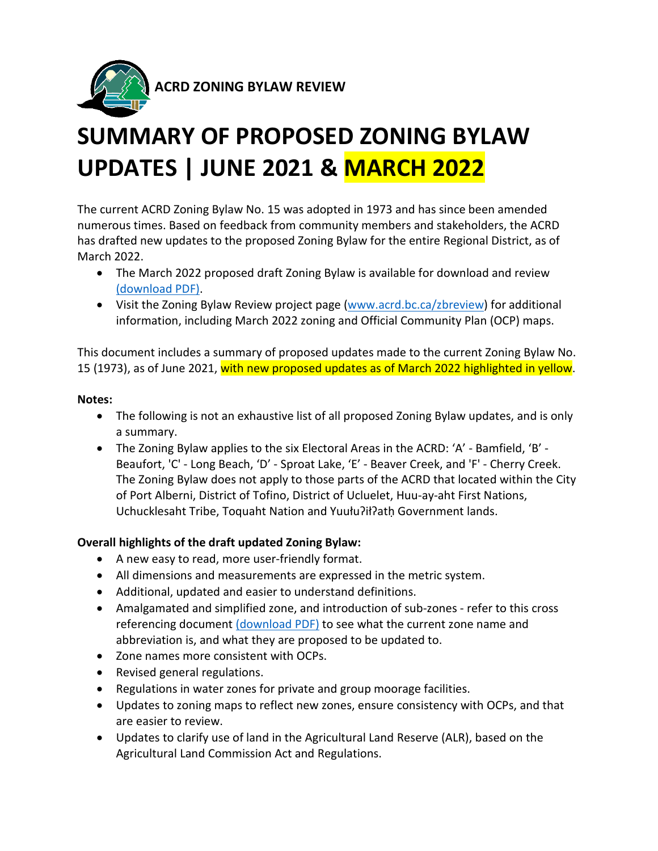

# **SUMMARY OF PROPOSED ZONING BYLAW UPDATES | JUNE 2021 & MARCH 2022**

The current ACRD Zoning Bylaw No. 15 was adopted in 1973 and has since been amended numerous times. Based on feedback from community members and stakeholders, the ACRD has drafted new updates to the proposed Zoning Bylaw for the entire Regional District, as of March 2022.

- The March 2022 proposed draft Zoning Bylaw is available for download and review [\(download PDF\).](https://www.acrd.bc.ca/dms/documents/planning-and-development/projects/zoningbylawreview/march2022/draft_zoning_bylaw_-_march_2022.pdf)
- Visit the Zoning Bylaw Review project page [\(www.acrd.bc.ca/zbreview\)](http://www.acrd.bc.ca/zbreview) for additional information, including March 2022 zoning and Official Community Plan (OCP) maps.

This document includes a summary of proposed updates made to the current Zoning Bylaw No. 15 (1973), as of June 2021, with new proposed updates as of March 2022 highlighted in yellow.

### **Notes:**

- The following is not an exhaustive list of all proposed Zoning Bylaw updates, and is only a summary.
- The Zoning Bylaw applies to the six Electoral Areas in the ACRD: 'A' Bamfield, 'B' Beaufort, 'C' - Long Beach, 'D' - Sproat Lake, 'E' - Beaver Creek, and 'F' - Cherry Creek. The Zoning Bylaw does not apply to those parts of the ACRD that located within the City of Port Alberni, District of Tofino, District of Ucluelet, Huu-ay-aht First Nations, Uchucklesaht Tribe, Toquaht Nation and Yuułuʔiłʔatḥ Government lands.

## **Overall highlights of the draft updated Zoning Bylaw:**

- A new easy to read, more user-friendly format.
- All dimensions and measurements are expressed in the metric system.
- Additional, updated and easier to understand definitions.
- Amalgamated and simplified zone, and introduction of sub-zones refer to this cross referencing document [\(download PDF\)](https://www.acrd.bc.ca/dms/documents/planning-and-development/projects/zoningbylawreview/march2022/zone_cross_referencing_-_march_2022.pdf) to see what the current zone name and abbreviation is, and what they are proposed to be updated to.
- Zone names more consistent with OCPs.
- Revised general regulations.
- Regulations in water zones for private and group moorage facilities.
- Updates to zoning maps to reflect new zones, ensure consistency with OCPs, and that are easier to review.
- Updates to clarify use of land in the Agricultural Land Reserve (ALR), based on the Agricultural Land Commission Act and Regulations.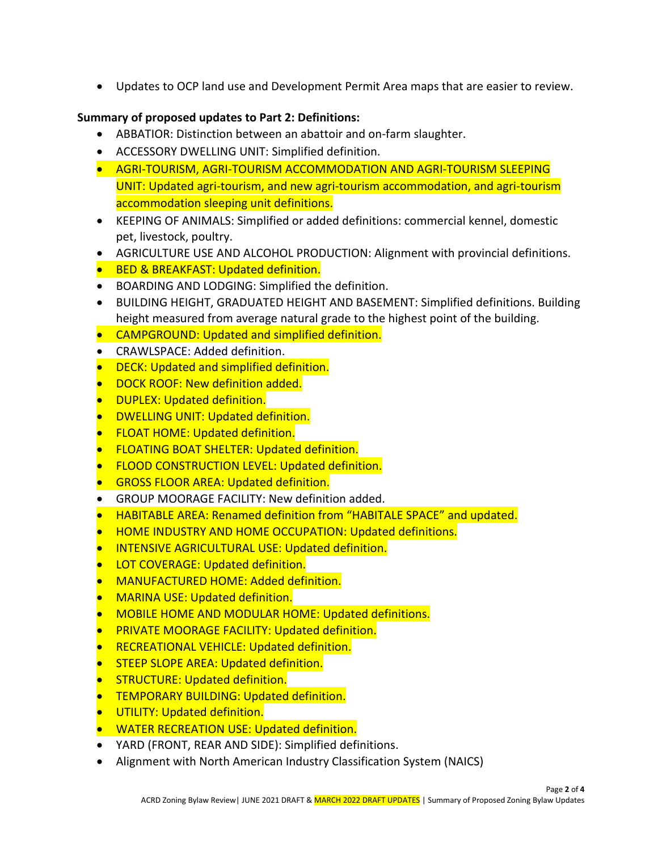• Updates to OCP land use and Development Permit Area maps that are easier to review.

### **Summary of proposed updates to Part 2: Definitions:**

- ABBATIOR: Distinction between an abattoir and on-farm slaughter.
- ACCESSORY DWELLING UNIT: Simplified definition.
- AGRI-TOURISM, AGRI-TOURISM ACCOMMODATION AND AGRI-TOURISM SLEEPING UNIT: Updated agri-tourism, and new agri-tourism accommodation, and agri-tourism accommodation sleeping unit definitions.
- KEEPING OF ANIMALS: Simplified or added definitions: commercial kennel, domestic pet, livestock, poultry.
- AGRICULTURE USE AND ALCOHOL PRODUCTION: Alignment with provincial definitions.
- **BED & BREAKFAST: Updated definition.**
- BOARDING AND LODGING: Simplified the definition.
- BUILDING HEIGHT, GRADUATED HEIGHT AND BASEMENT: Simplified definitions. Building height measured from average natural grade to the highest point of the building.
- CAMPGROUND: Updated and simplified definition.
- CRAWLSPACE: Added definition.
- **•** DECK: Updated and simplified definition.
- **DOCK ROOF: New definition added.**
- **•** DUPLEX: Updated definition.
- DWELLING UNIT: Updated definition.
- **•** FLOAT HOME: Updated definition.
- **FLOATING BOAT SHELTER: Updated definition.**
- FLOOD CONSTRUCTION LEVEL: Updated definition.
- **GROSS FLOOR AREA: Updated definition.**
- GROUP MOORAGE FACILITY: New definition added.
- HABITABLE AREA: Renamed definition from "HABITALE SPACE" and updated.
- HOME INDUSTRY AND HOME OCCUPATION: Updated definitions.
- INTENSIVE AGRICULTURAL USE: Updated definition.
- LOT COVERAGE: Updated definition.
- MANUFACTURED HOME: Added definition.
- MARINA USE: Updated definition.
- MOBILE HOME AND MODULAR HOME: Updated definitions.
- PRIVATE MOORAGE FACILITY: Updated definition.
- RECREATIONAL VEHICLE: Updated definition.
- **STEEP SLOPE AREA: Updated definition.**
- STRUCTURE: Updated definition.
- TEMPORARY BUILDING: Updated definition.
- UTILITY: Updated definition.
- WATER RECREATION USE: Updated definition.
- YARD (FRONT, REAR AND SIDE): Simplified definitions.
- Alignment with North American Industry Classification System (NAICS)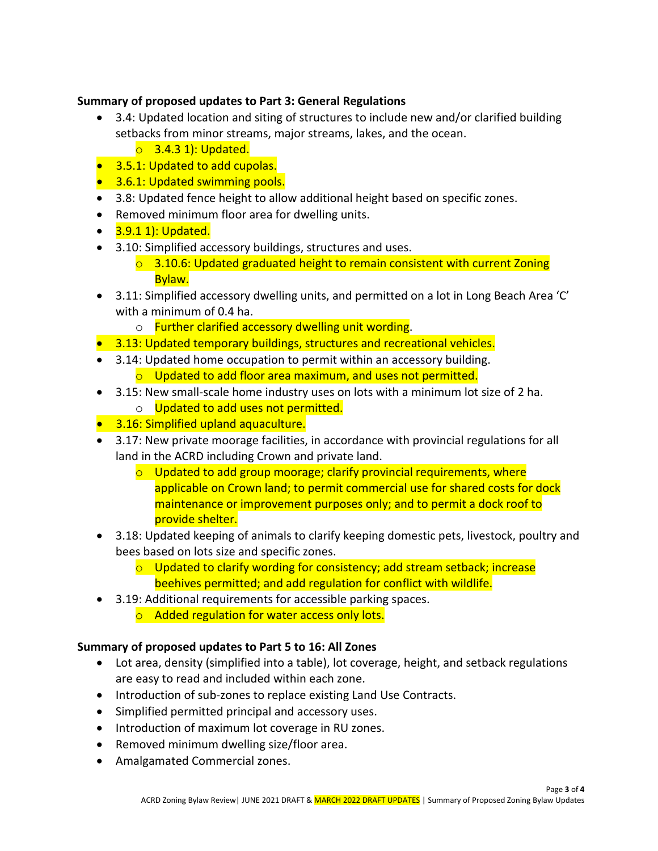#### **Summary of proposed updates to Part 3: General Regulations**

- 3.4: Updated location and siting of structures to include new and/or clarified building setbacks from minor streams, major streams, lakes, and the ocean.
	- $\circ$  3.4.3 1): Updated.
- **3.5.1: Updated to add cupolas.**
- 3.6.1: Updated swimming pools.
- 3.8: Updated fence height to allow additional height based on specific zones.
- Removed minimum floor area for dwelling units.
- 3.9.1 1): Updated.
- 3.10: Simplified accessory buildings, structures and uses.
	- $\circ$  3.10.6: Updated graduated height to remain consistent with current Zoning Bylaw.
- 3.11: Simplified accessory dwelling units, and permitted on a lot in Long Beach Area 'C' with a minimum of 0.4 ha.
	- o Further clarified accessory dwelling unit wording.
- **3.13: Updated temporary buildings, structures and recreational vehicles.**
- 3.14: Updated home occupation to permit within an accessory building.
	- o Updated to add floor area maximum, and uses not permitted.
- 3.15: New small-scale home industry uses on lots with a minimum lot size of 2 ha.
	- o Updated to add uses not permitted.
- **3.16: Simplified upland aquaculture.**
- 3.17: New private moorage facilities, in accordance with provincial regulations for all land in the ACRD including Crown and private land.
	- o Updated to add group moorage; clarify provincial requirements, where applicable on Crown land; to permit commercial use for shared costs for dock maintenance or improvement purposes only; and to permit a dock roof to provide shelter.
- 3.18: Updated keeping of animals to clarify keeping domestic pets, livestock, poultry and bees based on lots size and specific zones.
	- $\circ$  Updated to clarify wording for consistency; add stream setback; increase beehives permitted; and add regulation for conflict with wildlife.
- 3.19: Additional requirements for accessible parking spaces. o Added regulation for water access only lots.

### **Summary of proposed updates to Part 5 to 16: All Zones**

- Lot area, density (simplified into a table), lot coverage, height, and setback regulations are easy to read and included within each zone.
- Introduction of sub-zones to replace existing Land Use Contracts.
- Simplified permitted principal and accessory uses.
- Introduction of maximum lot coverage in RU zones.
- Removed minimum dwelling size/floor area.
- Amalgamated Commercial zones.